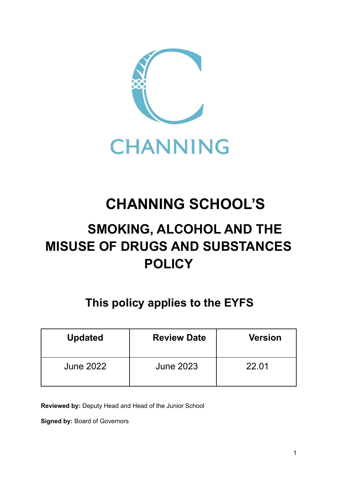

# **CHANNING SCHOOL'S**

## **SMOKING, ALCOHOL AND THE MISUSE OF DRUGS AND SUBSTANCES POLICY**

## **This policy applies to the EYFS**

| <b>Updated</b>   | <b>Review Date</b> | <b>Version</b> |
|------------------|--------------------|----------------|
| <b>June 2022</b> | June 2023          | 22.01          |

**Reviewed by:** Deputy Head and Head of the Junior School

**Signed by:** Board of Governors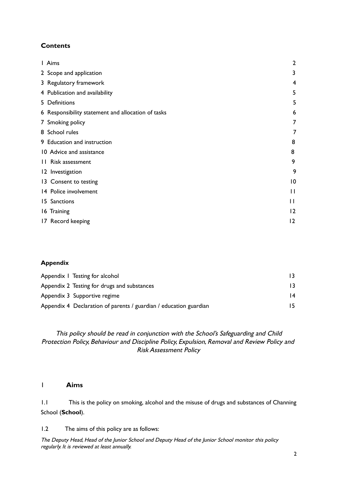## **Contents**

| Aims                                               | $\overline{2}$  |
|----------------------------------------------------|-----------------|
| 2 Scope and application                            | 3               |
| 3 Regulatory framework                             | 4               |
| 4 Publication and availability                     | 5               |
| 5 Definitions                                      | 5               |
| 6 Responsibility statement and allocation of tasks | 6               |
| 7 Smoking policy                                   | 7               |
| 8 School rules                                     | 7               |
| 9 Education and instruction                        | 8               |
| 10 Advice and assistance                           | 8               |
| Risk assessment<br>$\mathbf{H}$                    | 9               |
| 12 Investigation                                   | 9               |
| 13 Consent to testing                              | $\overline{10}$ |
| 14 Police involvement                              | $\mathsf{I}$    |
| Sanctions<br>15.                                   | $\mathsf{H}$    |
| 16 Training                                        | 12              |
| 17 Record keeping                                  | 12              |

## **Appendix**

| Appendix 1 Testing for alcohol                                    |                 |
|-------------------------------------------------------------------|-----------------|
| Appendix 2 Testing for drugs and substances                       | 13.             |
| Appendix 3 Supportive regime                                      | $\overline{14}$ |
| Appendix 4 Declaration of parents / guardian / education guardian | 15.             |

## This policy should be read in conjunction with the School's Safeguarding and Child Protection Policy, Behaviour and Discipline Policy, Expulsion, Removal and Review Policy and Risk Assessment Policy

## 1 **Aims**

1.1 This is the policy on smoking, alcohol and the misuse of drugs and substances of Channing School (**School**).

1.2 The aims of this policy are as follows: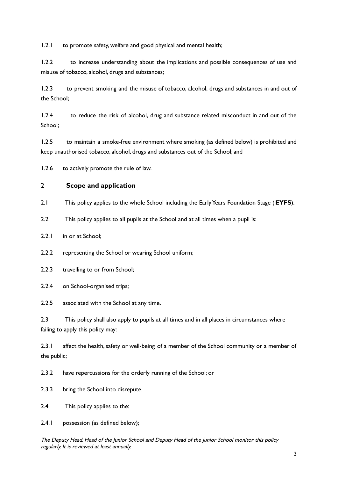1.2.1 to promote safety, welfare and good physical and mental health;

1.2.2 to increase understanding about the implications and possible consequences of use and misuse of tobacco, alcohol, drugs and substances;

1.2.3 to prevent smoking and the misuse of tobacco, alcohol, drugs and substances in and out of the School;

1.2.4 to reduce the risk of alcohol, drug and substance related misconduct in and out of the School;

1.2.5 to maintain a smoke-free environment where smoking (as defined below) is prohibited and keep unauthorised tobacco, alcohol, drugs and substances out of the School; and

1.2.6 to actively promote the rule of law.

## 2 **Scope and application**

2.1 This policy applies to the whole School including the EarlyYears Foundation Stage (**EYFS**).

2.2 This policy applies to all pupils at the School and at all times when a pupil is:

2.2.1 in or at School;

2.2.2 representing the School or wearing School uniform;

2.2.3 travelling to or from School;

2.2.4 on School-organised trips;

2.2.5 associated with the School at any time.

2.3 This policy shall also apply to pupils at all times and in all places in circumstances where failing to apply this policy may:

2.3.1 affect the health, safety or well-being of a member of the School community or a member of the public;

2.3.2 have repercussions for the orderly running of the School; or

2.3.3 bring the School into disrepute.

2.4 This policy applies to the:

2.4.1 possession (as defined below);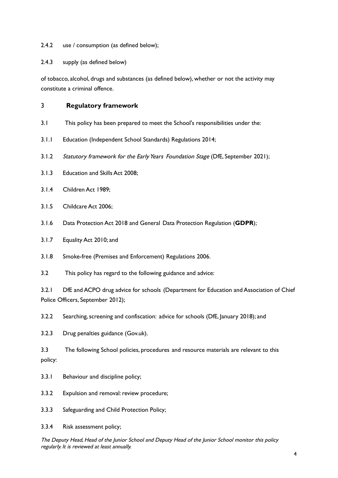2.4.2 use / consumption (as defined below);

2.4.3 supply (as defined below)

of tobacco, alcohol, drugs and substances (as defined below), whether or not the activity may constitute a criminal offence.

## 3 **Regulatory framework**

- 3.1 This policy has been prepared to meet the School's responsibilities under the:
- 3.1.1 Education (Independent School Standards) Regulations 2014;
- 3.1.2 Statutory framework for the Early Years Foundation Stage (DfE, September 2021);
- 3.1.3 Education and Skills Act 2008;
- 3.1.4 Children Act 1989;
- 3.1.5 Childcare Act 2006;
- 3.1.6 Data Protection Act 2018 and General Data Protection Regulation (**GDPR**);
- 3.1.7 Equality Act 2010; and
- 3.1.8 Smoke-free (Premises and Enforcement) Regulations 2006.
- 3.2 This policy has regard to the following guidance and advice:

3.2.1 DfE and ACPO drug advice for [schools](https://www.gov.uk/government/publications/drugs-advice-for-schools) (Department for Education and Association of Chief Police Officers, September 2012);

3.2.2 Searching, screening and confiscation: advice for schools (DfE, January 2018); and

3.2.3 Drug [penalties](https://www.gov.uk/penalties-drug-possession-dealing) guidance (Gov.uk).

3.3 The following School policies, procedures and resource materials are relevant to this policy:

3.3.1 Behaviour and discipline policy;

3.3.2 Expulsion and removal: review procedure;

3.3.3 Safeguarding and Child Protection Policy;

3.3.4 Risk assessment policy;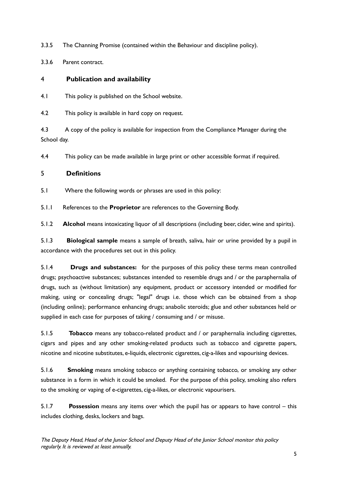- 3.3.5 The Channing Promise (contained within the Behaviour and discipline policy).
- 3.3.6 Parent contract.

## 4 **Publication and availability**

4.1 This policy is published on the School website.

4.2 This policy is available in hard copy on request.

4.3 A copy of the policy is available for inspection from the Compliance Manager during the School day.

4.4 This policy can be made available in large print or other accessible format if required.

## 5 **Definitions**

5.1 Where the following words or phrases are used in this policy:

5.1.1 References to the **Proprietor** are references to the Governing Body.

5.1.2 **Alcohol** means intoxicating liquor of all descriptions (including beer, cider, wine and spirits).

5.1.3 **Biological sample** means a sample of breath, saliva, hair or urine provided by a pupil in accordance with the procedures set out in this policy.

5.1.4 **Drugs and substances:** for the purposes of this policy these terms mean controlled drugs; psychoactive substances; substances intended to resemble drugs and / or the paraphernalia of drugs, such as (without limitation) any equipment, product or accessory intended or modified for making, using or concealing drugs; "legal" drugs i.e. those which can be obtained from a shop (including online); performance enhancing drugs; anabolic steroids; glue and other substances held or supplied in each case for purposes of taking / consuming and / or misuse.

5.1.5 **Tobacco** means any tobacco-related product and / or paraphernalia including cigarettes, cigars and pipes and any other smoking-related products such as tobacco and cigarette papers, nicotine and nicotine substitutes, e-liquids, electronic cigarettes, cig-a-likes and vapourising devices.

5.1.6 **Smoking** means smoking tobacco or anything containing tobacco, or smoking any other substance in a form in which it could be smoked. For the purpose of this policy, smoking also refers to the smoking or vaping of e-cigarettes, cig-a-likes, or electronic vapourisers.

5.1.7 **Possession** means any items over which the pupil has or appears to have control – this includes clothing, desks, lockers and bags.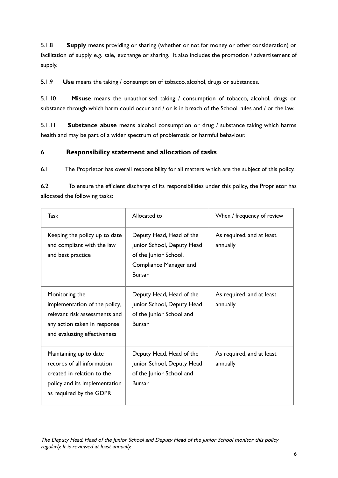5.1.8 **Supply** means providing or sharing (whether or not for money or other consideration) or facilitation of supply e.g. sale, exchange or sharing. It also includes the promotion / advertisement of supply.

5.1.9 **Use** means the taking / consumption of tobacco, alcohol, drugs or substances.

5.1.10 **Misuse** means the unauthorised taking / consumption of tobacco, alcohol, drugs or substance through which harm could occur and / or is in breach of the School rules and / or the law.

5.1.11 **Substance abuse** means alcohol consumption or drug / substance taking which harms health and may be part of a wider spectrum of problematic or harmful behaviour.

## 6 **Responsibility statement and allocation of tasks**

6.1 The Proprietor has overall responsibility for all matters which are the subject of this policy.

6.2 To ensure the efficient discharge of its responsibilities under this policy, the Proprietor has allocated the following tasks:

| Task                                                                                                                                             | Allocated to                                                                                                               | When / frequency of review            |
|--------------------------------------------------------------------------------------------------------------------------------------------------|----------------------------------------------------------------------------------------------------------------------------|---------------------------------------|
| Keeping the policy up to date<br>and compliant with the law<br>and best practice                                                                 | Deputy Head, Head of the<br>Junior School, Deputy Head<br>of the Junior School,<br>Compliance Manager and<br><b>Bursar</b> | As required, and at least<br>annually |
| Monitoring the<br>implementation of the policy,<br>relevant risk assessments and<br>any action taken in response<br>and evaluating effectiveness | Deputy Head, Head of the<br>Junior School, Deputy Head<br>of the Junior School and<br><b>Bursar</b>                        | As required, and at least<br>annually |
| Maintaining up to date<br>records of all information<br>created in relation to the<br>policy and its implementation<br>as required by the GDPR   | Deputy Head, Head of the<br>Junior School, Deputy Head<br>of the Junior School and<br><b>Bursar</b>                        | As required, and at least<br>annually |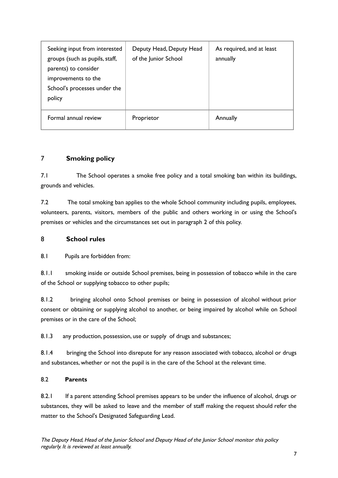| Seeking input from interested<br>groups (such as pupils, staff,<br>parents) to consider<br>improvements to the<br>School's processes under the<br>policy | Deputy Head, Deputy Head<br>of the Junior School | As required, and at least<br>annually |
|----------------------------------------------------------------------------------------------------------------------------------------------------------|--------------------------------------------------|---------------------------------------|
| Formal annual review                                                                                                                                     | Proprietor                                       | Annually                              |

## 7 **Smoking policy**

7.1 The School operates a smoke free policy and a total smoking ban within its buildings, grounds and vehicles.

7.2 The total smoking ban applies to the whole School community including pupils, employees, volunteers, parents, visitors, members of the public and others working in or using the School's premises or vehicles and the circumstances set out in paragraph 2 of this policy.

## 8 **School rules**

8.1 Pupils are forbidden from:

8.1.1 smoking inside or outside School premises, being in possession of tobacco while in the care of the School or supplying tobacco to other pupils;

8.1.2 bringing alcohol onto School premises or being in possession of alcohol without prior consent or obtaining or supplying alcohol to another, or being impaired by alcohol while on School premises or in the care of the School;

8.1.3 any production, possession, use or supply of drugs and substances;

8.1.4 bringing the School into disrepute for any reason associated with tobacco, alcohol or drugs and substances, whether or not the pupil is in the care of the School at the relevant time.

## 8.2 **Parents**

8.2.1 If a parent attending School premises appears to be under the influence of alcohol, drugs or substances, they will be asked to leave and the member of staff making the request should refer the matter to the School's Designated Safeguarding Lead.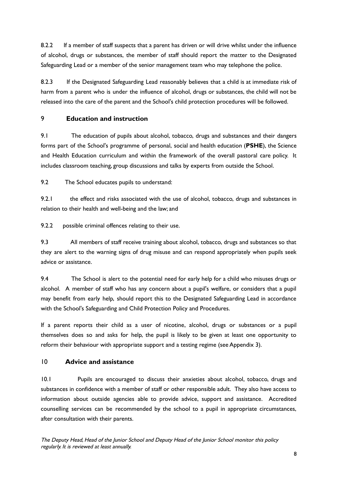8.2.2 If a member of staff suspects that a parent has driven or will drive whilst under the influence of alcohol, drugs or substances, the member of staff should report the matter to the Designated Safeguarding Lead or a member of the senior management team who may telephone the police.

8.2.3 If the Designated Safeguarding Lead reasonably believes that a child is at immediate risk of harm from a parent who is under the influence of alcohol, drugs or substances, the child will not be released into the care of the parent and the School's child protection procedures will be followed.

## 9 **Education and instruction**

9.1 The education of pupils about alcohol, tobacco, drugs and substances and their dangers forms part of the School's programme of personal, social and health education (**PSHE**), the Science and Health Education curriculum and within the framework of the overall pastoral care policy. It includes classroom teaching, group discussions and talks by experts from outside the School.

9.2 The School educates pupils to understand:

9.2.1 the effect and risks associated with the use of alcohol, tobacco, drugs and substances in relation to their health and well-being and the law; and

9.2.2 possible criminal offences relating to their use.

9.3 All members of staff receive training about alcohol, tobacco, drugs and substances so that they are alert to the warning signs of drug misuse and can respond appropriately when pupils seek advice or assistance.

9.4 The School is alert to the potential need for early help for a child who misuses drugs or alcohol. A member of staff who has any concern about a pupil's welfare, or considers that a pupil may benefit from early help, should report this to the Designated Safeguarding Lead in accordance with the School's Safeguarding and Child Protection Policy and Procedures.

If a parent reports their child as a user of nicotine, alcohol, drugs or substances or a pupil themselves does so and asks for help, the pupil is likely to be given at least one opportunity to reform their behaviour with appropriate support and a testing regime (see Appendix 3).

## 10 **Advice and assistance**

10.1 Pupils are encouraged to discuss their anxieties about alcohol, tobacco, drugs and substances in confidence with a member of staff or other responsible adult. They also have access to information about outside agencies able to provide advice, support and assistance. Accredited counselling services can be recommended by the school to a pupil in appropriate circumstances, after consultation with their parents.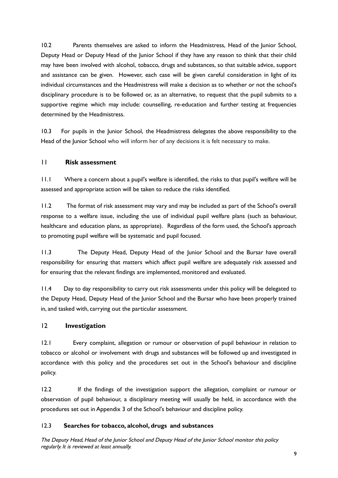10.2 Parents themselves are asked to inform the Headmistress, Head of the Junior School, Deputy Head or Deputy Head of the Junior School if they have any reason to think that their child may have been involved with alcohol, tobacco, drugs and substances, so that suitable advice, support and assistance can be given. However, each case will be given careful consideration in light of its individual circumstances and the Headmistress will make a decision as to whether or not the school's disciplinary procedure is to be followed or, as an alternative, to request that the pupil submits to a supportive regime which may include: counselling, re-education and further testing at frequencies determined by the Headmistress.

10.3 For pupils in the Junior School, the Headmistress delegates the above responsibility to the Head of the Junior School who will inform her of any decisions it is felt necessary to make.

#### 11 **Risk assessment**

11.1 Where a concern about a pupil's welfare is identified, the risks to that pupil's welfare will be assessed and appropriate action will be taken to reduce the risks identified.

11.2 The format of risk assessment may vary and may be included as part of the School's overall response to a welfare issue, including the use of individual pupil welfare plans (such as behaviour, healthcare and education plans, as appropriate). Regardless of the form used, the School's approach to promoting pupil welfare will be systematic and pupil focused.

11.3 The Deputy Head, Deputy Head of the Junior School and the Bursar have overall responsibility for ensuring that matters which affect pupil welfare are adequately risk assessed and for ensuring that the relevant findings are implemented, monitored and evaluated.

11.4 Day to day responsibility to carry out risk assessments under this policy will be delegated to the Deputy Head, Deputy Head of the Junior School and the Bursar who have been properly trained in, and tasked with, carrying out the particular assessment.

#### 12 **Investigation**

12.1 Every complaint, allegation or rumour or observation of pupil behaviour in relation to tobacco or alcohol or involvement with drugs and substances will be followed up and investigated in accordance with this policy and the procedures set out in the School's behaviour and discipline policy.

12.2 If the findings of the investigation support the allegation, complaint or rumour or observation of pupil behaviour, a disciplinary meeting will usually be held, in accordance with the procedures set out in Appendix 3 of the School's behaviour and discipline policy.

#### 12.3 **Searches for tobacco, alcohol, drugs and substances**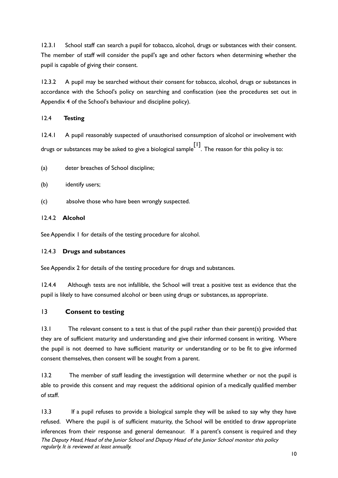12.3.1 School staff can search a pupil for tobacco, alcohol, drugs or substances with their consent. The member of staff will consider the pupil's age and other factors when determining whether the pupil is capable of giving their consent.

12.3.2 A pupil may be searched without their consent for tobacco, alcohol, drugs or substances in accordance with the School's policy on searching and confiscation (see the procedures set out in Appendix 4 of the School's behaviour and discipline policy).

#### 12.4 **Testing**

12.4.1 A pupil reasonably suspected of unauthorised consumption of alcohol or involvement with drugs or substances may be asked to give a biological sample [1] . The reason for this policy is to:

- (a) deter breaches of School discipline;
- (b) identify users;
- (c) absolve those who have been wrongly suspected.

#### 12.4.2 **Alcohol**

See Appendix 1 for details of the testing procedure for alcohol.

#### 12.4.3 **Drugs and substances**

See Appendix 2 for details of the testing procedure for drugs and substances.

12.4.4 Although tests are not infallible, the School will treat a positive test as evidence that the pupil is likely to have consumed alcohol or been using drugs or substances, as appropriate.

## 13 **Consent to testing**

13.1 The relevant consent to a test is that of the pupil rather than their parent(s) provided that they are of sufficient maturity and understanding and give their informed consent in writing. Where the pupil is not deemed to have sufficient maturity or understanding or to be fit to give informed consent themselves, then consent will be sought from a parent.

13.2 The member of staff leading the investigation will determine whether or not the pupil is able to provide this consent and may request the additional opinion of a medically qualified member of staff.

13.3 If a pupil refuses to provide a biological sample they will be asked to say why they have refused. Where the pupil is of sufficient maturity, the School will be entitled to draw appropriate inferences from their response and general demeanour. If a parent's consent is required and they The Deputy Head, Head of the Junior School and Deputy Head of the Junior School monitor this policy regularly. It is reviewed at least annually.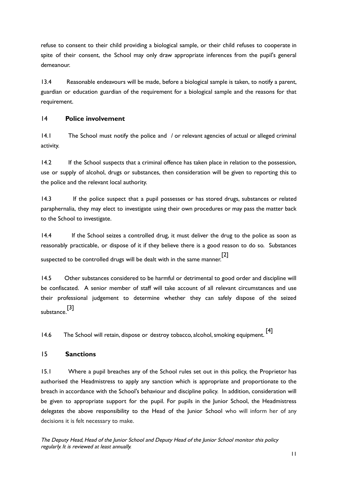refuse to consent to their child providing a biological sample, or their child refuses to cooperate in spite of their consent, the School may only draw appropriate inferences from the pupil's general demeanour.

13.4 Reasonable endeavours will be made, before a biological sample is taken, to notify a parent, guardian or education guardian of the requirement for a biological sample and the reasons for that requirement.

#### 14 **Police involvement**

14.1 The School must notify the police and / or relevant agencies of actual or alleged criminal activity.

14.2 If the School suspects that a criminal offence has taken place in relation to the possession, use or supply of alcohol, drugs or substances, then consideration will be given to reporting this to the police and the relevant local authority.

14.3 If the police suspect that a pupil possesses or has stored drugs, substances or related paraphernalia, they may elect to investigate using their own procedures or may pass the matter back to the School to investigate.

14.4 If the School seizes a controlled drug, it must deliver the drug to the police as soon as reasonably practicable, or dispose of it if they believe there is a good reason to do so. Substances suspected to be controlled drugs will be dealt with in the same manner. [2]

14.5 Other substances considered to be harmful or detrimental to good order and discipline will be confiscated. A senior member of staff will take account of all relevant circumstances and use their professional judgement to determine whether they can safely dispose of the seized substance. [3]

14.6 The School will retain, dispose or destroy tobacco, alcohol, smoking equipment. [4]

## 15 **Sanctions**

15.1 Where a pupil breaches any of the School rules set out in this policy, the Proprietor has authorised the Headmistress to apply any sanction which is appropriate and proportionate to the breach in accordance with the School's behaviour and discipline policy. In addition, consideration will be given to appropriate support for the pupil. For pupils in the lunior School, the Headmistress delegates the above responsibility to the Head of the Junior School who will inform her of any decisions it is felt necessary to make.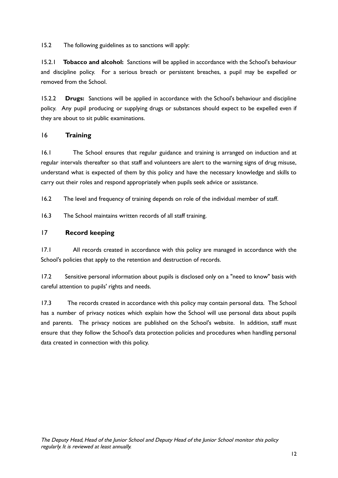15.2 The following guidelines as to sanctions will apply:

15.2.1 **Tobacco and alcohol:** Sanctions will be applied in accordance with the School's behaviour and discipline policy. For a serious breach or persistent breaches, a pupil may be expelled or removed from the School.

15.2.2 **Drugs:** Sanctions will be applied in accordance with the School's behaviour and discipline policy. Any pupil producing or supplying drugs or substances should expect to be expelled even if they are about to sit public examinations.

## 16 **Training**

16.1 The School ensures that regular guidance and training is arranged on induction and at regular intervals thereafter so that staff and volunteers are alert to the warning signs of drug misuse, understand what is expected of them by this policy and have the necessary knowledge and skills to carry out their roles and respond appropriately when pupils seek advice or assistance.

16.2 The level and frequency of training depends on role of the individual member of staff.

16.3 The School maintains written records of all staff training.

#### 17 **Record keeping**

17.1 All records created in accordance with this policy are managed in accordance with the School's policies that apply to the retention and destruction of records.

17.2 Sensitive personal information about pupils is disclosed only on a "need to know" basis with careful attention to pupils' rights and needs.

17.3 The records created in accordance with this policy may contain personal data. The School has a number of privacy notices which explain how the School will use personal data about pupils and parents. The privacy notices are published on the School's website. In addition, staff must ensure that they follow the School's data protection policies and procedures when handling personal data created in connection with this policy.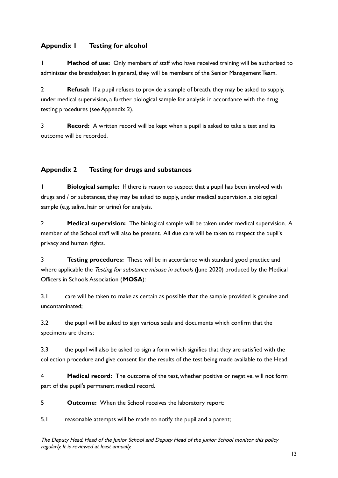## **Appendix 1 Testing for alcohol**

1 **Method of use:** Only members of staff who have received training will be authorised to administer the breathalyser. In general, they will be members of the Senior Management Team.

2 **Refusal:** If a pupil refuses to provide a sample of breath, they may be asked to supply, under medical supervision, a further biological sample for analysis in accordance with the drug testing procedures (see Appendix 2).

3 **Record:** A written record will be kept when a pupil is asked to take a test and its outcome will be recorded.

## **Appendix 2 Testing for drugs and substances**

1 **Biological sample:** If there is reason to suspect that a pupil has been involved with drugs and / or substances, they may be asked to supply, under medical supervision, a biological sample (e.g. saliva, hair or urine) for analysis.

2 **Medical supervision:** The biological sample will be taken under medical supervision. A member of the School staff will also be present. All due care will be taken to respect the pupil's privacy and human rights.

3 **Testing procedures:** These will be in accordance with standard good practice and where applicable the Testing for substance misuse in schools (June 2020) produced by the Medical Officers in Schools Association (**MOSA**):

3.1 care will be taken to make as certain as possible that the sample provided is genuine and uncontaminated;

3.2 the pupil will be asked to sign various seals and documents which confirm that the specimens are theirs;

3.3 the pupil will also be asked to sign a form which signifies that they are satisfied with the collection procedure and give consent for the results of the test being made available to the Head.

4 **Medical record:** The outcome of the test, whether positive or negative, will not form part of the pupil's permanent medical record.

5 **Outcome:** When the School receives the laboratory report:

5.1 reasonable attempts will be made to notify the pupil and a parent;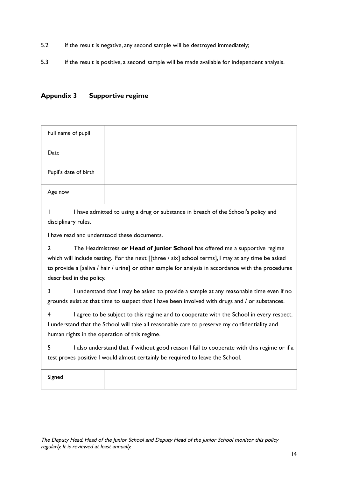- 5.2 if the result is negative, any second sample will be destroyed immediately;
- 5.3 if the result is positive, a second sample will be made available for independent analysis.

## **Appendix 3 Supportive regime**

| Full name of pupil                       |                                                                                                                                                                                                                                                                                          |
|------------------------------------------|------------------------------------------------------------------------------------------------------------------------------------------------------------------------------------------------------------------------------------------------------------------------------------------|
| Date                                     |                                                                                                                                                                                                                                                                                          |
| Pupil's date of birth                    |                                                                                                                                                                                                                                                                                          |
| Age now                                  |                                                                                                                                                                                                                                                                                          |
| disciplinary rules.                      | I have admitted to using a drug or substance in breach of the School's policy and<br>I have read and understood these documents.                                                                                                                                                         |
| $\mathbf{2}$<br>described in the policy. | The Headmistress or Head of Junior School has offered me a supportive regime<br>which will include testing. For the next [[three / six] school terms], I may at any time be asked<br>to provide a [saliva / hair / urine] or other sample for analysis in accordance with the procedures |
| 3                                        | I understand that I may be asked to provide a sample at any reasonable time even if no<br>grounds exist at that time to suspect that I have been involved with drugs and / or substances.                                                                                                |
| 4                                        | I agree to be subject to this regime and to cooperate with the School in every respect.<br>I understand that the School will take all reasonable care to preserve my confidentiality and<br>human rights in the operation of this regime.                                                |
| 5                                        | I also understand that if without good reason I fail to cooperate with this regime or if a<br>test proves positive I would almost certainly be required to leave the School.                                                                                                             |
| Signed                                   |                                                                                                                                                                                                                                                                                          |